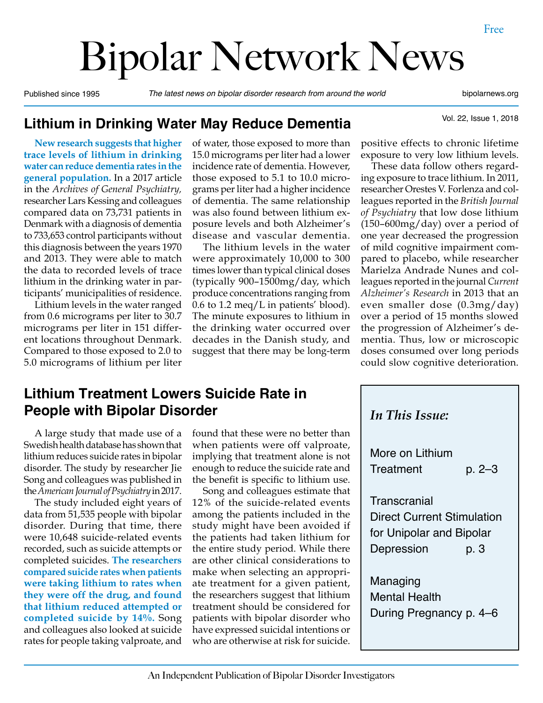# Bipolar Network News

Published since 1995 *The latest news on bipolar disorder research from around the world* bipolarnews.org

Vol. 22, Issue 1, 2018

#### **Lithium in Drinking Water May Reduce Dementia**

**New research suggests that higher trace levels of lithium in drinking water can reduce dementia rates in the general population.** In a 2017 article in the *Archives of General Psychiatry,*  researcher Lars Kessing and colleagues compared data on 73,731 patients in Denmark with a diagnosis of dementia to 733,653 control participants without this diagnosis between the years 1970 and 2013. They were able to match the data to recorded levels of trace lithium in the drinking water in participants' municipalities of residence.

Lithium levels in the water ranged from 0.6 micrograms per liter to 30.7 micrograms per liter in 151 different locations throughout Denmark. Compared to those exposed to 2.0 to 5.0 micrograms of lithium per liter

of water, those exposed to more than 15.0 micrograms per liter had a lower incidence rate of dementia. However, those exposed to 5.1 to 10.0 micrograms per liter had a higher incidence of dementia. The same relationship was also found between lithium exposure levels and both Alzheimer's disease and vascular dementia.

The lithium levels in the water were approximately 10,000 to 300 times lower than typical clinical doses (typically 900–1500mg/day, which produce concentrations ranging from 0.6 to 1.2 meq/L in patients' blood). The minute exposures to lithium in the drinking water occurred over decades in the Danish study, and suggest that there may be long-term

#### positive effects to chronic lifetime exposure to very low lithium levels.

These data follow others regarding exposure to trace lithium. In 2011, researcher Orestes V. Forlenza and colleagues reported in the *British Journal of Psychiatry* that low dose lithium  $(150-600mg/day)$  over a period of one year decreased the progression of mild cognitive impairment compared to placebo, while researcher Marielza Andrade Nunes and colleagues reported in the journal *Current Alzheimer's Research* in 2013 that an even smaller dose (0.3mg/day) over a period of 15 months slowed the progression of Alzheimer's dementia. Thus, low or microscopic doses consumed over long periods could slow cognitive deterioration.

## **Lithium Treatment Lowers Suicide Rate in People with Bipolar Disorder**

A large study that made use of a Swedish health database has shown that lithium reduces suicide rates in bipolar disorder. The study by researcher Jie Song and colleagues was published in the *American Journal of Psychiatry* in 2017.

The study included eight years of data from 51,535 people with bipolar disorder. During that time, there were 10,648 suicide-related events recorded, such as suicide attempts or completed suicides. **The researchers compared suicide rates when patients were taking lithium to rates when they were off the drug, and found that lithium reduced attempted or completed suicide by 14%.** Song and colleagues also looked at suicide rates for people taking valproate, and

found that these were no better than when patients were off valproate, implying that treatment alone is not enough to reduce the suicide rate and the benefit is specific to lithium use.

Song and colleagues estimate that 12% of the suicide-related events among the patients included in the study might have been avoided if the patients had taken lithium for the entire study period. While there are other clinical considerations to make when selecting an appropriate treatment for a given patient, the researchers suggest that lithium treatment should be considered for patients with bipolar disorder who have expressed suicidal intentions or who are otherwise at risk for suicide.

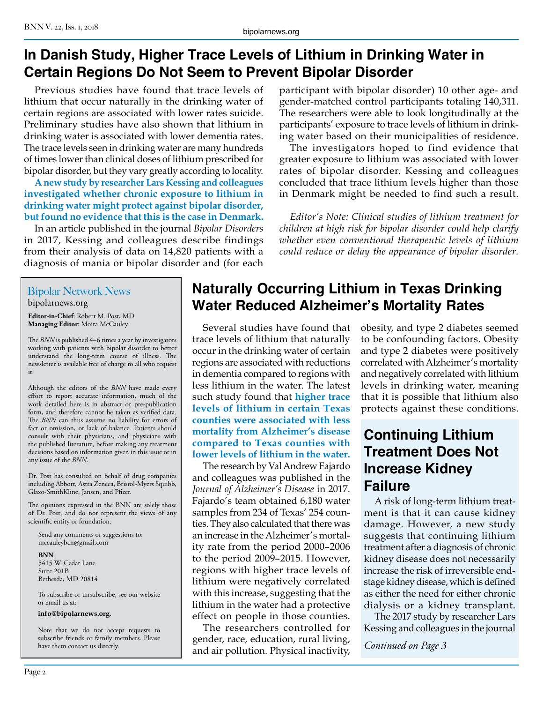# **In Danish Study, Higher Trace Levels of Lithium in Drinking Water in Certain Regions Do Not Seem to Prevent Bipolar Disorder**

Previous studies have found that trace levels of lithium that occur naturally in the drinking water of certain regions are associated with lower rates suicide. Preliminary studies have also shown that lithium in drinking water is associated with lower dementia rates. The trace levels seen in drinking water are many hundreds of times lower than clinical doses of lithium prescribed for bipolar disorder, but they vary greatly according to locality.

**A new study by researcher Lars Kessing and colleagues investigated whether chronic exposure to lithium in drinking water might protect against bipolar disorder, but found no evidence that this is the case in Denmark.**

In an article published in the journal *Bipolar Disorders* in 2017, Kessing and colleagues describe findings from their analysis of data on 14,820 patients with a diagnosis of mania or bipolar disorder and (for each

#### participant with bipolar disorder) 10 other age- and gender-matched control participants totaling 140,311. The researchers were able to look longitudinally at the participants' exposure to trace levels of lithium in drinking water based on their municipalities of residence.

The investigators hoped to find evidence that greater exposure to lithium was associated with lower rates of bipolar disorder. Kessing and colleagues concluded that trace lithium levels higher than those in Denmark might be needed to find such a result.

*Editor's Note: Clinical studies of lithium treatment for children at high risk for bipolar disorder could help clarify whether even conventional therapeutic levels of lithium could reduce or delay the appearance of bipolar disorder.*

#### Bipolar Network News bipolarnews.org

**Editor-in-Chief**: Robert M. Post, MD **Managing Editor**: Moira McCauley

The *BNN* is published 4–6 times a year by investigators working with patients with bipolar disorder to better understand the long-term course of illness. The newsletter is available free of charge to all who request it.

Although the editors of the *BNN* have made every effort to report accurate information, much of the work detailed here is in abstract or pre-publication form, and therefore cannot be taken as verified data. The *BNN* can thus assume no liability for errors of fact or omission, or lack of balance. Patients should consult with their physicians, and physicians with the published literature, before making any treatment decisions based on information given in this issue or in any issue of the *BNN*.

Dr. Post has consulted on behalf of drug companies including Abbott, Astra Zeneca, Bristol-Myers Squibb, Glaxo-SmithKline, Jansen, and Pfizer.

The opinions expressed in the BNN are solely those of Dr. Post, and do not represent the views of any scientific entity or foundation.

Send any comments or suggestions to: mccauleybcn@gmail.com

**BNN**

5415 W. Cedar Lane Suite 201B Bethesda, MD 20814

To subscribe or unsubscribe, see our website or email us at:

**info@bipolarnews.org**.

Note that we do not accept requests to subscribe friends or family members. Please have them contact us directly.

# **Naturally Occurring Lithium in Texas Drinking Water Reduced Alzheimer's Mortality Rates**

Several studies have found that trace levels of lithium that naturally occur in the drinking water of certain regions are associated with reductions in dementia compared to regions with less lithium in the water. The latest such study found that **higher trace levels of lithium in certain Texas counties were associated with less mortality from Alzheimer's disease compared to Texas counties with lower levels of lithium in the water.**

The research by Val Andrew Fajardo and colleagues was published in the *Journal of Alzheimer's Disease* in 2017. Fajardo's team obtained 6,180 water samples from 234 of Texas' 254 counties. They also calculated that there was an increase in the Alzheimer's mortality rate from the period 2000–2006 to the period 2009–2015. However, regions with higher trace levels of lithium were negatively correlated with this increase, suggesting that the lithium in the water had a protective effect on people in those counties.

The researchers controlled for gender, race, education, rural living, and air pollution. Physical inactivity, obesity, and type 2 diabetes seemed to be confounding factors. Obesity and type 2 diabetes were positively correlated with Alzheimer's mortality and negatively correlated with lithium levels in drinking water, meaning that it is possible that lithium also protects against these conditions.

## **Continuing Lithium Treatment Does Not Increase Kidney Failure**

A risk of long-term lithium treatment is that it can cause kidney damage. However, a new study suggests that continuing lithium treatment after a diagnosis of chronic kidney disease does not necessarily increase the risk of irreversible endstage kidney disease, which is defined as either the need for either chronic dialysis or a kidney transplant.

The 2017 study by researcher Lars Kessing and colleagues in the journal

*Continued on Page 3*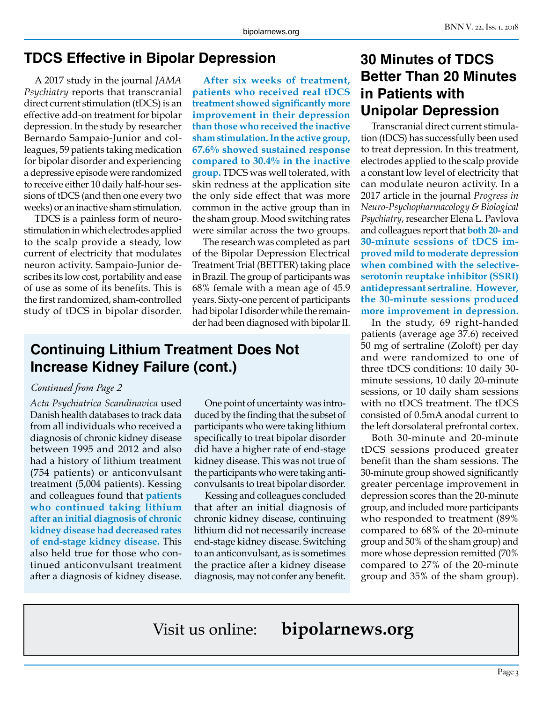#### **TDCS Effective in Bipolar Depression**

A 2017 study in the journal *JAMA Psychiatry* reports that transcranial direct current stimulation (tDCS) is an effective add-on treatment for bipolar depression. In the study by researcher Bernardo Sampaio-Junior and colleagues, 59 patients taking medication for bipolar disorder and experiencing a depressive episode were randomized to receive either 10 daily half-hour sessions of tDCS (and then one every two weeks) or an inactive sham stimulation.

TDCS is a painless form of neurostimulation in which electrodes applied to the scalp provide a steady, low current of electricity that modulates neuron activity. Sampaio-Junior describes its low cost, portability and ease of use as some of its benefits. This is the first randomized, sham-controlled study of tDCS in bipolar disorder.

**After six weeks of treatment, patients who received real tDCS treatment showed significantly more improvement in their depression than those who received the inactive sham stimulation. In the active group, 67.6% showed sustained response compared to 30.4% in the inactive group.** TDCS was well tolerated, with skin redness at the application site the only side effect that was more common in the active group than in the sham group. Mood switching rates were similar across the two groups.

The research was completed as part of the Bipolar Depression Electrical Treatment Trial (BETTER) taking place in Brazil. The group of participants was 68% female with a mean age of 45.9 years. Sixty-one percent of participants had bipolar I disorder while the remainder had been diagnosed with bipolar II.

#### **Continuing Lithium Treatment Does Not Increase Kidney Failure (cont.)**

#### *Continued from Page 2*

*Acta Psychiatrica Scandinavica* used Danish health databases to track data from all individuals who received a diagnosis of chronic kidney disease between 1995 and 2012 and also had a history of lithium treatment (754 patients) or anticonvulsant treatment (5,004 patients). Kessing and colleagues found that **patients who continued taking lithium after an initial diagnosis of chronic kidney disease had decreased rates of end-stage kidney disease.** This also held true for those who continued anticonvulsant treatment after a diagnosis of kidney disease.

One point of uncertainty was introduced by the finding that the subset of participants who were taking lithium specifically to treat bipolar disorder did have a higher rate of end-stage kidney disease. This was not true of the participants who were taking anticonvulsants to treat bipolar disorder.

Kessing and colleagues concluded that after an initial diagnosis of chronic kidney disease, continuing lithium did not necessarily increase end-stage kidney disease. Switching to an anticonvulsant, as is sometimes the practice after a kidney disease diagnosis, may not confer any benefit.

## **30 Minutes of TDCS Better Than 20 Minutes in Patients with Unipolar Depression**

Transcranial direct current stimulation (tDCS) has successfully been used to treat depression. In this treatment, electrodes applied to the scalp provide a constant low level of electricity that can modulate neuron activity. In a 2017 article in the journal *Progress in Neuro-Psychopharmacology & Biological Psychiatry*, researcher Elena L. Pavlova and colleagues report that **both 20- and 30-minute sessions of tDCS improved mild to moderate depression when combined with the selectiveserotonin reuptake inhibitor (SSRI) antidepressant sertraline. However, the 30-minute sessions produced more improvement in depression.**

In the study, 69 right-handed patients (average age 37.6) received 50 mg of sertraline (Zoloft) per day and were randomized to one of three tDCS conditions: 10 daily 30 minute sessions, 10 daily 20-minute sessions, or 10 daily sham sessions with no tDCS treatment. The tDCS consisted of 0.5mA anodal current to the left dorsolateral prefrontal cortex.

Both 30-minute and 20-minute tDCS sessions produced greater benefit than the sham sessions. The 30-minute group showed significantly greater percentage improvement in depression scores than the 20-minute group, and included more participants who responded to treatment (89% compared to 68% of the 20-minute group and 50% of the sham group) and more whose depression remitted (70% compared to 27% of the 20-minute group and 35% of the sham group).

Visit us online: **bipolarnews.org**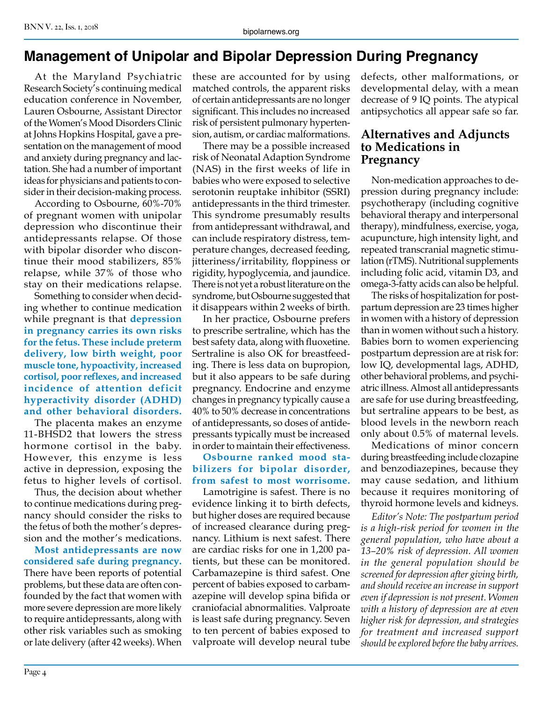# **Management of Unipolar and Bipolar Depression During Pregnancy**

At the Maryland Psychiatric Research Society's continuing medical education conference in November, Lauren Osbourne, Assistant Director of the Women's Mood Disorders Clinic at Johns Hopkins Hospital, gave a presentation on the management of mood and anxiety during pregnancy and lactation. She had a number of important ideas for physicians and patients to consider in their decision-making process.

According to Osbourne, 60%-70% of pregnant women with unipolar depression who discontinue their antidepressants relapse. Of those with bipolar disorder who discontinue their mood stabilizers, 85% relapse, while 37% of those who stay on their medications relapse.

Something to consider when deciding whether to continue medication while pregnant is that **depression in pregnancy carries its own risks for the fetus. These include preterm delivery, low birth weight, poor muscle tone, hypoactivity, increased cortisol, poor reflexes, and increased incidence of attention deficit hyperactivity disorder (ADHD) and other behavioral disorders.** 

The placenta makes an enzyme 11-BHSD2 that lowers the stress hormone cortisol in the baby. However, this enzyme is less active in depression, exposing the fetus to higher levels of cortisol.

Thus, the decision about whether to continue medications during pregnancy should consider the risks to the fetus of both the mother's depression and the mother's medications.

**Most antidepressants are now considered safe during pregnancy.** There have been reports of potential problems, but these data are often confounded by the fact that women with more severe depression are more likely to require antidepressants, along with other risk variables such as smoking or late delivery (after 42 weeks). When

these are accounted for by using matched controls, the apparent risks of certain antidepressants are no longer significant. This includes no increased risk of persistent pulmonary hypertension, autism, or cardiac malformations.

There may be a possible increased risk of Neonatal Adaption Syndrome (NAS) in the first weeks of life in babies who were exposed to selective serotonin reuptake inhibitor (SSRI) antidepressants in the third trimester. This syndrome presumably results from antidepressant withdrawal, and can include respiratory distress, temperature changes, decreased feeding, jitteriness/irritability, floppiness or rigidity, hypoglycemia, and jaundice. There is not yet a robust literature on the syndrome, but Osbourne suggested that it disappears within 2 weeks of birth.

In her practice, Osbourne prefers to prescribe sertraline, which has the best safety data, along with fluoxetine. Sertraline is also OK for breastfeeding. There is less data on bupropion, but it also appears to be safe during pregnancy. Endocrine and enzyme changes in pregnancy typically cause a 40% to 50% decrease in concentrations of antidepressants, so doses of antidepressants typically must be increased in order to maintain their effectiveness.

#### **Osbourne ranked mood stabilizers for bipolar disorder, from safest to most worrisome.**

Lamotrigine is safest. There is no evidence linking it to birth defects, but higher doses are required because of increased clearance during pregnancy. Lithium is next safest. There are cardiac risks for one in 1,200 patients, but these can be monitored. Carbamazepine is third safest. One percent of babies exposed to carbamazepine will develop spina bifida or craniofacial abnormalities. Valproate is least safe during pregnancy. Seven to ten percent of babies exposed to valproate will develop neural tube

defects, other malformations, or developmental delay, with a mean decrease of 9 IQ points. The atypical antipsychotics all appear safe so far.

#### **Alternatives and Adjuncts to Medications in Pregnancy**

Non-medication approaches to depression during pregnancy include: psychotherapy (including cognitive behavioral therapy and interpersonal therapy), mindfulness, exercise, yoga, acupuncture, high intensity light, and repeated transcranial magnetic stimulation (rTMS). Nutritional supplements including folic acid, vitamin D3, and omega-3-fatty acids can also be helpful.

The risks of hospitalization for postpartum depression are 23 times higher in women with a history of depression than in women without such a history. Babies born to women experiencing postpartum depression are at risk for: low IQ, developmental lags, ADHD, other behavioral problems, and psychiatric illness. Almost all antidepressants are safe for use during breastfeeding, but sertraline appears to be best, as blood levels in the newborn reach only about 0.5% of maternal levels.

Medications of minor concern during breastfeeding include clozapine and benzodiazepines, because they may cause sedation, and lithium because it requires monitoring of thyroid hormone levels and kidneys.

*Editor's Note: The postpartum period is a high-risk period for women in the general population, who have about a 13–20% risk of depression. All women in the general population should be screened for depression after giving birth, and should receive an increase in support even if depression is not present. Women with a history of depression are at even higher risk for depression, and strategies for treatment and increased support should be explored before the baby arrives.*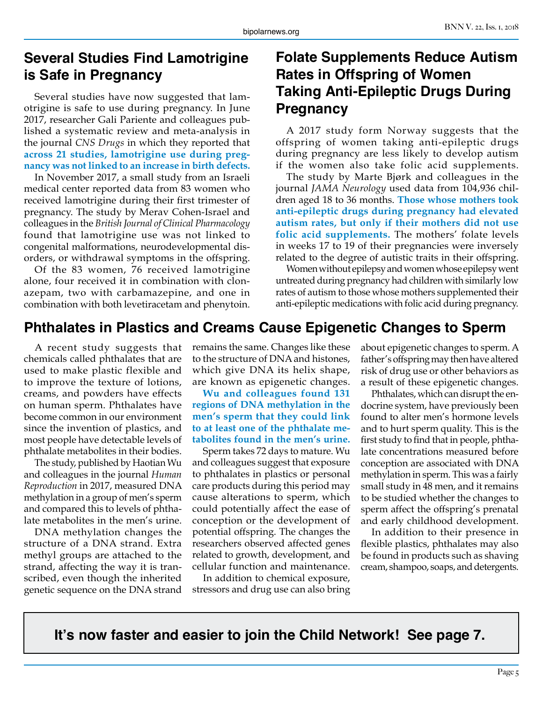### **Several Studies Find Lamotrigine is Safe in Pregnancy**

Several studies have now suggested that lamotrigine is safe to use during pregnancy. In June 2017, researcher Gali Pariente and colleagues published a systematic review and meta-analysis in the journal *CNS Drugs* in which they reported that **across 21 studies, lamotrigine use during pregnancy was not linked to an increase in birth defects.**

In November 2017, a small study from an Israeli medical center reported data from 83 women who received lamotrigine during their first trimester of pregnancy. The study by Merav Cohen-Israel and colleagues in the *British Journal of Clinical Pharmacology*  found that lamotrigine use was not linked to congenital malformations, neurodevelopmental disorders, or withdrawal symptoms in the offspring.

Of the 83 women, 76 received lamotrigine alone, four received it in combination with clonazepam, two with carbamazepine, and one in combination with both levetiracetam and phenytoin.

## **Folate Supplements Reduce Autism Rates in Offspring of Women Taking Anti-Epileptic Drugs During Pregnancy**

A 2017 study form Norway suggests that the offspring of women taking anti-epileptic drugs during pregnancy are less likely to develop autism if the women also take folic acid supplements.

The study by Marte Bjørk and colleagues in the journal *JAMA Neurology* used data from 104,936 children aged 18 to 36 months. **Those whose mothers took anti-epileptic drugs during pregnancy had elevated autism rates, but only if their mothers did not use folic acid supplements.** The mothers' folate levels in weeks 17 to 19 of their pregnancies were inversely related to the degree of autistic traits in their offspring.

Women without epilepsy and women whose epilepsy went untreated during pregnancy had children with similarly low rates of autism to those whose mothers supplemented their anti-epileptic medications with folic acid during pregnancy.

# **Phthalates in Plastics and Creams Cause Epigenetic Changes to Sperm**

A recent study suggests that chemicals called phthalates that are used to make plastic flexible and to improve the texture of lotions, creams, and powders have effects on human sperm. Phthalates have become common in our environment since the invention of plastics, and most people have detectable levels of phthalate metabolites in their bodies.

The study, published by Haotian Wu and colleagues in the journal *Human Reproduction* in 2017, measured DNA methylation in a group of men's sperm and compared this to levels of phthalate metabolites in the men's urine.

DNA methylation changes the structure of a DNA strand. Extra methyl groups are attached to the strand, affecting the way it is transcribed, even though the inherited genetic sequence on the DNA strand

remains the same. Changes like these to the structure of DNA and histones, which give DNA its helix shape, are known as epigenetic changes.

**Wu and colleagues found 131 regions of DNA methylation in the men's sperm that they could link to at least one of the phthalate metabolites found in the men's urine.**

Sperm takes 72 days to mature. Wu and colleagues suggest that exposure to phthalates in plastics or personal care products during this period may cause alterations to sperm, which could potentially affect the ease of conception or the development of potential offspring. The changes the researchers observed affected genes related to growth, development, and cellular function and maintenance.

In addition to chemical exposure, stressors and drug use can also bring about epigenetic changes to sperm. A father's offspring may then have altered risk of drug use or other behaviors as a result of these epigenetic changes.

Phthalates, which can disrupt the endocrine system, have previously been found to alter men's hormone levels and to hurt sperm quality. This is the first study to find that in people, phthalate concentrations measured before conception are associated with DNA methylation in sperm. This was a fairly small study in 48 men, and it remains to be studied whether the changes to sperm affect the offspring's prenatal and early childhood development.

In addition to their presence in flexible plastics, phthalates may also be found in products such as shaving cream, shampoo, soaps, and detergents.

**It's now faster and easier to join the Child Network! See page 7.**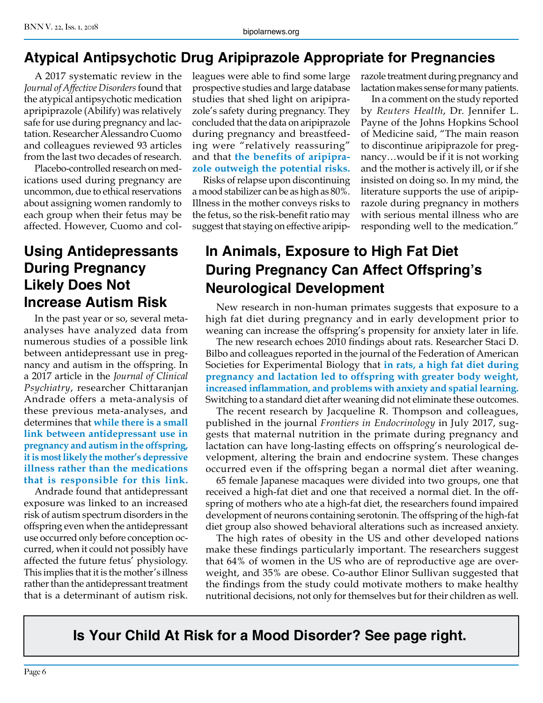# **Atypical Antipsychotic Drug Aripiprazole Appropriate for Pregnancies**

A 2017 systematic review in the *Journal of Affective Disorders* found that the atypical antipsychotic medication apripiprazole (Abilify) was relatively safe for use during pregnancy and lactation. Researcher Alessandro Cuomo and colleagues reviewed 93 articles from the last two decades of research.

Placebo-controlled research on medications used during pregnancy are uncommon, due to ethical reservations about assigning women randomly to each group when their fetus may be affected. However, Cuomo and col-

## **Using Antidepressants During Pregnancy Likely Does Not Increase Autism Risk**

In the past year or so, several metaanalyses have analyzed data from numerous studies of a possible link between antidepressant use in pregnancy and autism in the offspring. In a 2017 article in the *Journal of Clinical Psychiatry*, researcher Chittaranjan Andrade offers a meta-analysis of these previous meta-analyses, and determines that **while there is a small link between antidepressant use in pregnancy and autism in the offspring, it is most likely the mother's depressive illness rather than the medications that is responsible for this link.**

Andrade found that antidepressant exposure was linked to an increased risk of autism spectrum disorders in the offspring even when the antidepressant use occurred only before conception occurred, when it could not possibly have affected the future fetus' physiology. This implies that it is the mother's illness rather than the antidepressant treatment that is a determinant of autism risk.

leagues were able to find some large prospective studies and large database studies that shed light on aripiprazole's safety during pregnancy. They concluded that the data on aripiprazole during pregnancy and breastfeeding were "relatively reassuring" and that **the benefits of aripiprazole outweigh the potential risks.**

Risks of relapse upon discontinuing a mood stabilizer can be as high as 80%. Illness in the mother conveys risks to the fetus, so the risk-benefit ratio may suggest that staying on effective aripiprazole treatment during pregnancy and lactation makes sense for many patients.

In a comment on the study reported by *Reuters Health*, Dr. Jennifer L. Payne of the Johns Hopkins School of Medicine said, "The main reason to discontinue aripiprazole for pregnancy…would be if it is not working and the mother is actively ill, or if she insisted on doing so. In my mind, the literature supports the use of aripiprazole during pregnancy in mothers with serious mental illness who are responding well to the medication."

# **In Animals, Exposure to High Fat Diet During Pregnancy Can Affect Offspring's Neurological Development**

New research in non-human primates suggests that exposure to a high fat diet during pregnancy and in early development prior to weaning can increase the offspring's propensity for anxiety later in life.

The new research echoes 2010 findings about rats. Researcher Staci D. Bilbo and colleagues reported in the journal of the Federation of American Societies for Experimental Biology that **in rats, a high fat diet during pregnancy and lactation led to offspring with greater body weight, increased inflammation, and problems with anxiety and spatial learning.**  Switching to a standard diet after weaning did not eliminate these outcomes.

The recent research by Jacqueline R. Thompson and colleagues, published in the journal *Frontiers in Endocrinology* in July 2017, suggests that maternal nutrition in the primate during pregnancy and lactation can have long-lasting effects on offspring's neurological development, altering the brain and endocrine system. These changes occurred even if the offspring began a normal diet after weaning.

65 female Japanese macaques were divided into two groups, one that received a high-fat diet and one that received a normal diet. In the offspring of mothers who ate a high-fat diet, the researchers found impaired development of neurons containing serotonin. The offspring of the high-fat diet group also showed behavioral alterations such as increased anxiety.

The high rates of obesity in the US and other developed nations make these findings particularly important. The researchers suggest that 64% of women in the US who are of reproductive age are overweight, and 35% are obese. Co-author Elinor Sullivan suggested that the findings from the study could motivate mothers to make healthy nutritional decisions, not only for themselves but for their children as well.

**Is Your Child At Risk for a Mood Disorder? See page right.**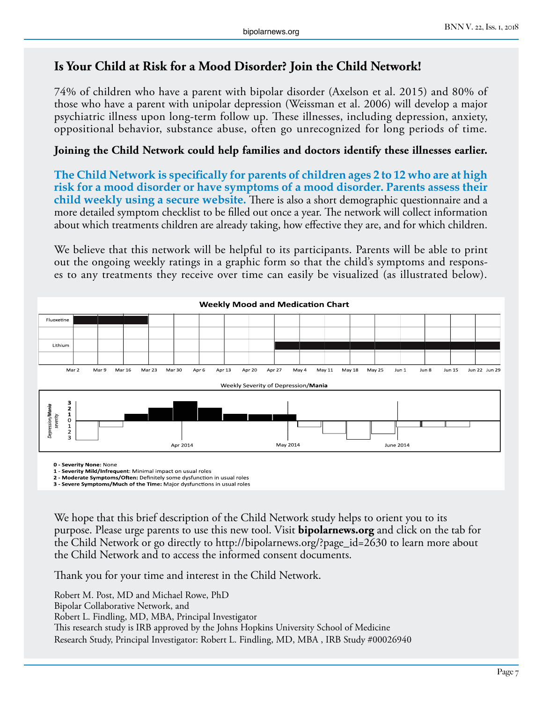#### **Is Your Child at Risk for a Mood Disorder? Join the Child Network!**

74% of children who have a parent with bipolar disorder (Axelson et al. 2015) and 80% of those who have a parent with unipolar depression (Weissman et al. 2006) will develop a major psychiatric illness upon long-term follow up. These illnesses, including depression, anxiety, oppositional behavior, substance abuse, often go unrecognized for long periods of time.

#### **Joining the Child Network could help families and doctors identify these illnesses earlier.**

**The Child Network is specifically for parents of children ages 2 to 12 who are at high risk for a mood disorder or have symptoms of a mood disorder. Parents assess their child weekly using a secure website.** There is also a short demographic questionnaire and a more detailed symptom checklist to be filled out once a year. The network will collect information about which treatments children are already taking, how effective they are, and for which children.

We believe that this network will be helpful to its participants. Parents will be able to print out the ongoing weekly ratings in a graphic form so that the child's symptoms and responses to any treatments they receive over time can easily be visualized (as illustrated below).



**0 - Severity None:** None

**1 - Severity Mild/Infrequent**: Minimal impact on usual roles

**2 - Moderate Symptoms/Often:** Definitely some dysfunction in usual roles **3 - Severe Symptoms/Much of the Time:** Major dysfunctions in usual roles

We hope that this brief description of the Child Network study helps to orient you to its purpose. Please urge parents to use this new tool. Visit **bipolarnews.org** and click on the tab for the Child Network or go directly to http://bipolarnews.org/?page\_id=2630 to learn more about the Child Network and to access the informed consent documents.

Thank you for your time and interest in the Child Network.

Robert M. Post, MD and Michael Rowe, PhD Bipolar Collaborative Network, and Robert L. Findling, MD, MBA, Principal Investigator This research study is IRB approved by the Johns Hopkins University School of Medicine Research Study, Principal Investigator: Robert L. Findling, MD, MBA , IRB Study #00026940